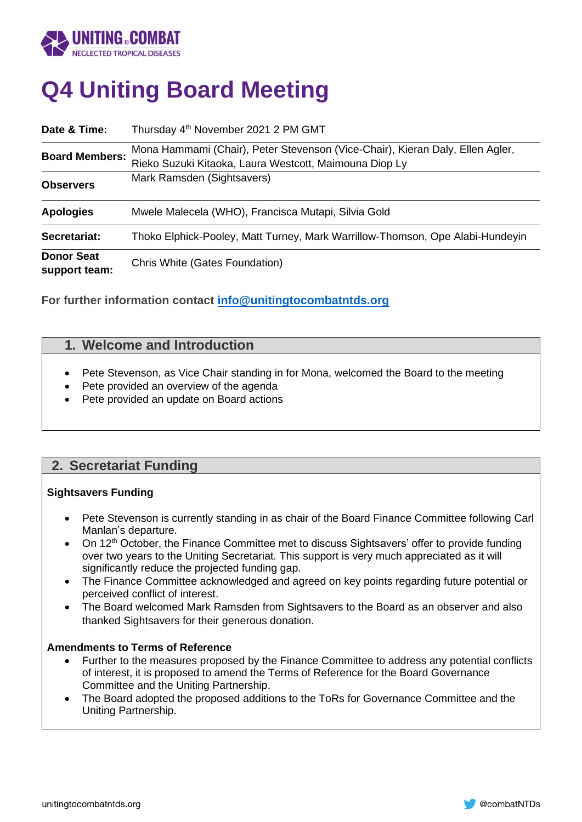

# **Q4 Uniting Board Meeting**

| Date & Time:                       | Thursday 4 <sup>th</sup> November 2021 2 PM GMT                                                                                         |  |
|------------------------------------|-----------------------------------------------------------------------------------------------------------------------------------------|--|
| <b>Board Members:</b>              | Mona Hammami (Chair), Peter Stevenson (Vice-Chair), Kieran Daly, Ellen Agler,<br>Rieko Suzuki Kitaoka, Laura Westcott, Maimouna Diop Ly |  |
| <b>Observers</b>                   | Mark Ramsden (Sightsavers)                                                                                                              |  |
| <b>Apologies</b>                   | Mwele Malecela (WHO), Francisca Mutapi, Silvia Gold                                                                                     |  |
| Secretariat:                       | Thoko Elphick-Pooley, Matt Turney, Mark Warrillow-Thomson, Ope Alabi-Hundeyin                                                           |  |
| <b>Donor Seat</b><br>support team: | Chris White (Gates Foundation)                                                                                                          |  |

**For further information contact [info@unitingtocombatntds.org](mailto:info@unitingtocombatntds.org)**

# **1. Welcome and Introduction**

- Pete Stevenson, as Vice Chair standing in for Mona, welcomed the Board to the meeting
- Pete provided an overview of the agenda
- Pete provided an update on Board actions

# **2. Secretariat Funding**

#### **Sightsavers Funding**

- Pete Stevenson is currently standing in as chair of the Board Finance Committee following Carl Manlan's departure.
- On 12<sup>th</sup> October, the Finance Committee met to discuss Sightsavers' offer to provide funding over two years to the Uniting Secretariat. This support is very much appreciated as it will significantly reduce the projected funding gap.
- The Finance Committee acknowledged and agreed on key points regarding future potential or perceived conflict of interest.
- The Board welcomed Mark Ramsden from Sightsavers to the Board as an observer and also thanked Sightsavers for their generous donation.

#### **Amendments to Terms of Reference**

- Further to the measures proposed by the Finance Committee to address any potential conflicts of interest, it is proposed to amend the Terms of Reference for the Board Governance Committee and the Uniting Partnership.
- The Board adopted the proposed additions to the ToRs for Governance Committee and the Uniting Partnership.

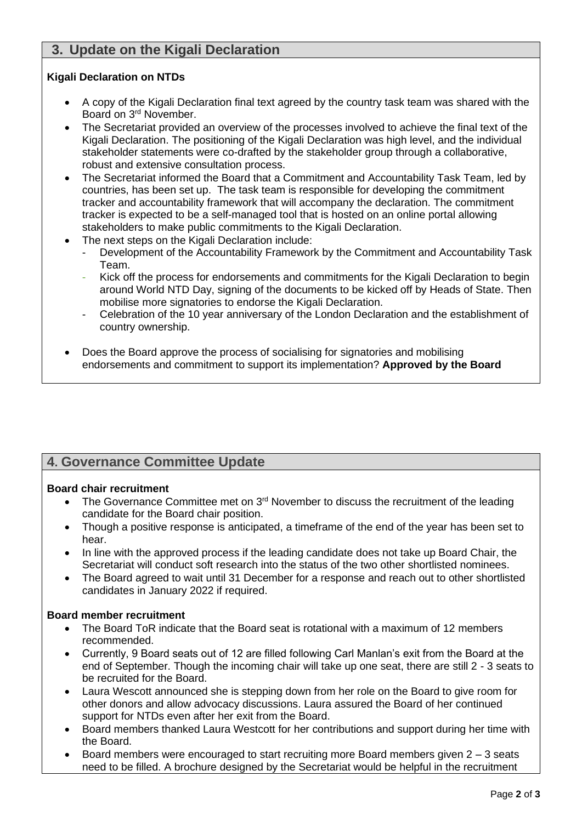# **3. Update on the Kigali Declaration**

### **Kigali Declaration on NTDs**

- A copy of the Kigali Declaration final text agreed by the country task team was shared with the Board on 3rd November.
- The Secretariat provided an overview of the processes involved to achieve the final text of the Kigali Declaration. The positioning of the Kigali Declaration was high level, and the individual stakeholder statements were co-drafted by the stakeholder group through a collaborative, robust and extensive consultation process.
- The Secretariat informed the Board that a Commitment and Accountability Task Team, led by countries, has been set up. The task team is responsible for developing the commitment tracker and accountability framework that will accompany the declaration. The commitment tracker is expected to be a self-managed tool that is hosted on an online portal allowing stakeholders to make public commitments to the Kigali Declaration.
- The next steps on the Kigali Declaration include:
	- Development of the Accountability Framework by the Commitment and Accountability Task Team.
	- Kick off the process for endorsements and commitments for the Kigali Declaration to begin around World NTD Day, signing of the documents to be kicked off by Heads of State. Then mobilise more signatories to endorse the Kigali Declaration.
	- Celebration of the 10 year anniversary of the London Declaration and the establishment of country ownership.
- Does the Board approve the process of socialising for signatories and mobilising endorsements and commitment to support its implementation? **Approved by the Board**

# **4. Governance Committee Update**

#### **Board chair recruitment**

- The Governance Committee met on 3<sup>rd</sup> November to discuss the recruitment of the leading candidate for the Board chair position.
- Though a positive response is anticipated, a timeframe of the end of the year has been set to hear.
- In line with the approved process if the leading candidate does not take up Board Chair, the Secretariat will conduct soft research into the status of the two other shortlisted nominees.
- The Board agreed to wait until 31 December for a response and reach out to other shortlisted candidates in January 2022 if required.

## **Board member recruitment**

- The Board ToR indicate that the Board seat is rotational with a maximum of 12 members recommended.
- Currently, 9 Board seats out of 12 are filled following Carl Manlan's exit from the Board at the end of September. Though the incoming chair will take up one seat, there are still 2 - 3 seats to be recruited for the Board.
- Laura Wescott announced she is stepping down from her role on the Board to give room for other donors and allow advocacy discussions. Laura assured the Board of her continued support for NTDs even after her exit from the Board.
- Board members thanked Laura Westcott for her contributions and support during her time with the Board.
- Board members were encouraged to start recruiting more Board members given 2 3 seats need to be filled. A brochure designed by the Secretariat would be helpful in the recruitment